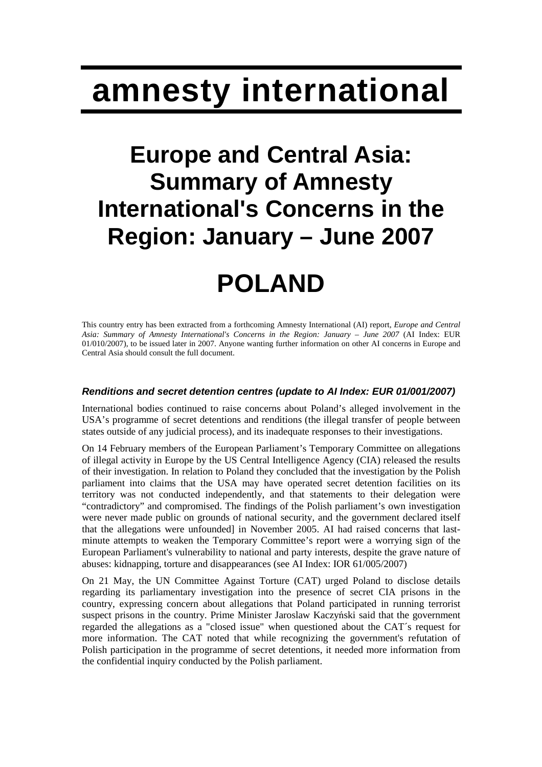# **amnesty international**

### **Europe and Central Asia: Summary of Amnesty International's Concerns in the Region: January – June 2007**

## **POLAND**

This country entry has been extracted from a forthcoming Amnesty International (AI) report, *Europe and Central Asia: Summary of Amnesty International's Concerns in the Region: January – June 2007* (AI Index: EUR 01/010/2007), to be issued later in 2007. Anyone wanting further information on other AI concerns in Europe and Central Asia should consult the full document.

#### **Renditions and secret detention centres (update to AI Index: EUR 01/001/2007)**

International bodies continued to raise concerns about Poland's alleged involvement in the USA's programme of secret detentions and renditions (the illegal transfer of people between states outside of any judicial process), and its inadequate responses to their investigations.

On 14 February members of the European Parliament's Temporary Committee on allegations of illegal activity in Europe by the US Central Intelligence Agency (CIA) released the results of their investigation. In relation to Poland they concluded that the investigation by the Polish parliament into claims that the USA may have operated secret detention facilities on its territory was not conducted independently, and that statements to their delegation were "contradictory" and compromised. The findings of the Polish parliament's own investigation were never made public on grounds of national security, and the government declared itself that the allegations were unfounded] in November 2005. AI had raised concerns that lastminute attempts to weaken the Temporary Committee's report were a worrying sign of the European Parliament's vulnerability to national and party interests, despite the grave nature of abuses: kidnapping, torture and disappearances (see AI Index: IOR 61/005/2007)

On 21 May, the UN Committee Against Torture (CAT) urged Poland to disclose details regarding its parliamentary investigation into the presence of secret CIA prisons in the country, expressing concern about allegations that Poland participated in running terrorist suspect prisons in the country. Prime Minister Jaroslaw Kaczyński said that the government regarded the allegations as a "closed issue" when questioned about the CAT´s request for more information. The CAT noted that while recognizing the government's refutation of Polish participation in the programme of secret detentions, it needed more information from the confidential inquiry conducted by the Polish parliament.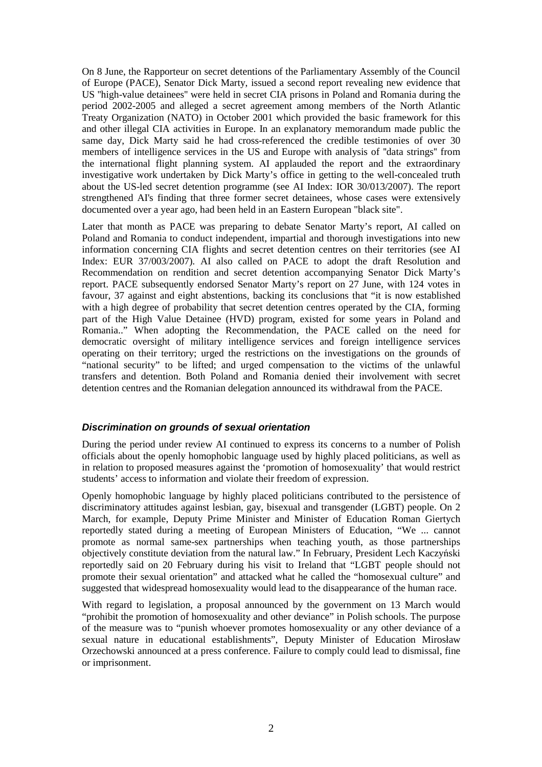On 8 June, the Rapporteur on secret detentions of the Parliamentary Assembly of the Council of Europe (PACE), Senator Dick Marty, issued a second report revealing new evidence that US ''high-value detainees'' were held in secret CIA prisons in Poland and Romania during the period 2002-2005 and alleged a secret agreement among members of the North Atlantic Treaty Organization (NATO) in October 2001 which provided the basic framework for this and other illegal CIA activities in Europe. In an explanatory memorandum made public the same day, Dick Marty said he had cross-referenced the credible testimonies of over 30 members of intelligence services in the US and Europe with analysis of ''data strings'' from the international flight planning system. AI applauded the report and the extraordinary investigative work undertaken by Dick Marty's office in getting to the well-concealed truth about the US-led secret detention programme (see AI Index: IOR 30/013/2007). The report strengthened AI's finding that three former secret detainees, whose cases were extensively documented over a year ago, had been held in an Eastern European "black site".

Later that month as PACE was preparing to debate Senator Marty's report, AI called on Poland and Romania to conduct independent, impartial and thorough investigations into new information concerning CIA flights and secret detention centres on their territories (see AI Index: EUR 37/003/2007). AI also called on PACE to adopt the draft Resolution and Recommendation on rendition and secret detention accompanying Senator Dick Marty's report. PACE subsequently endorsed Senator Marty's report on 27 June, with 124 votes in favour, 37 against and eight abstentions, backing its conclusions that "it is now established with a high degree of probability that secret detention centres operated by the CIA, forming part of the High Value Detainee (HVD) program, existed for some years in Poland and Romania.." When adopting the Recommendation, the PACE called on the need for democratic oversight of military intelligence services and foreign intelligence services operating on their territory; urged the restrictions on the investigations on the grounds of "national security" to be lifted; and urged compensation to the victims of the unlawful transfers and detention. Both Poland and Romania denied their involvement with secret detention centres and the Romanian delegation announced its withdrawal from the PACE.

#### **Discrimination on grounds of sexual orientation**

During the period under review AI continued to express its concerns to a number of Polish officials about the openly homophobic language used by highly placed politicians, as well as in relation to proposed measures against the 'promotion of homosexuality' that would restrict students' access to information and violate their freedom of expression.

Openly homophobic language by highly placed politicians contributed to the persistence of discriminatory attitudes against lesbian, gay, bisexual and transgender (LGBT) people. On 2 March, for example, Deputy Prime Minister and Minister of Education Roman Giertych reportedly stated during a meeting of European Ministers of Education, "We ... cannot promote as normal same-sex partnerships when teaching youth, as those partnerships objectively constitute deviation from the natural law." In February, President Lech Kaczyński reportedly said on 20 February during his visit to Ireland that "LGBT people should not promote their sexual orientation" and attacked what he called the "homosexual culture" and suggested that widespread homosexuality would lead to the disappearance of the human race.

With regard to legislation, a proposal announced by the government on 13 March would "prohibit the promotion of homosexuality and other deviance" in Polish schools. The purpose of the measure was to "punish whoever promotes homosexuality or any other deviance of a sexual nature in educational establishments", Deputy Minister of Education Mirosław Orzechowski announced at a press conference. Failure to comply could lead to dismissal, fine or imprisonment.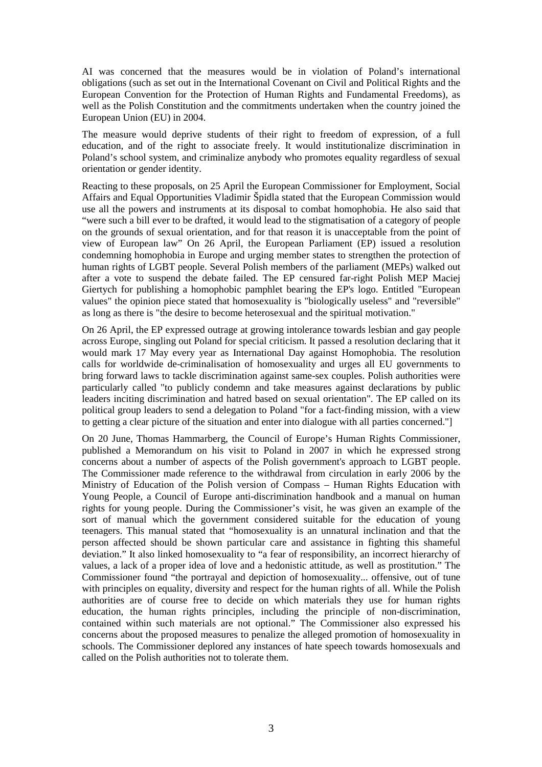AI was concerned that the measures would be in violation of Poland's international obligations (such as set out in the International Covenant on Civil and Political Rights and the European Convention for the Protection of Human Rights and Fundamental Freedoms), as well as the Polish Constitution and the commitments undertaken when the country joined the European Union (EU) in 2004.

The measure would deprive students of their right to freedom of expression, of a full education, and of the right to associate freely. It would institutionalize discrimination in Poland's school system, and criminalize anybody who promotes equality regardless of sexual orientation or gender identity.

Reacting to these proposals, on 25 April the European Commissioner for Employment, Social Affairs and Equal Opportunities Vladimir Špidla stated that the European Commission would use all the powers and instruments at its disposal to combat homophobia. He also said that "were such a bill ever to be drafted, it would lead to the stigmatisation of a category of people on the grounds of sexual orientation, and for that reason it is unacceptable from the point of view of European law" On 26 April, the European Parliament (EP) issued a resolution condemning homophobia in Europe and urging member states to strengthen the protection of human rights of LGBT people. Several Polish members of the parliament (MEPs) walked out after a vote to suspend the debate failed. The EP censured far-right Polish MEP Maciej Giertych for publishing a homophobic pamphlet bearing the EP's logo. Entitled "European values" the opinion piece stated that homosexuality is "biologically useless" and "reversible" as long as there is "the desire to become heterosexual and the spiritual motivation."

On 26 April, the EP expressed outrage at growing intolerance towards lesbian and gay people across Europe, singling out Poland for special criticism. It passed a resolution declaring that it would mark 17 May every year as International Day against Homophobia. The resolution calls for worldwide de-criminalisation of homosexuality and urges all EU governments to bring forward laws to tackle discrimination against same-sex couples. Polish authorities were particularly called "to publicly condemn and take measures against declarations by public leaders inciting discrimination and hatred based on sexual orientation". The EP called on its political group leaders to send a delegation to Poland "for a fact-finding mission, with a view to getting a clear picture of the situation and enter into dialogue with all parties concerned."]

On 20 June, Thomas Hammarberg, the Council of Europe's Human Rights Commissioner, published a Memorandum on his visit to Poland in 2007 in which he expressed strong concerns about a number of aspects of the Polish government's approach to LGBT people. The Commissioner made reference to the withdrawal from circulation in early 2006 by the Ministry of Education of the Polish version of Compass – Human Rights Education with Young People, a Council of Europe anti-discrimination handbook and a manual on human rights for young people. During the Commissioner's visit, he was given an example of the sort of manual which the government considered suitable for the education of young teenagers. This manual stated that "homosexuality is an unnatural inclination and that the person affected should be shown particular care and assistance in fighting this shameful deviation." It also linked homosexuality to "a fear of responsibility, an incorrect hierarchy of values, a lack of a proper idea of love and a hedonistic attitude, as well as prostitution." The Commissioner found "the portrayal and depiction of homosexuality... offensive, out of tune with principles on equality, diversity and respect for the human rights of all. While the Polish authorities are of course free to decide on which materials they use for human rights education, the human rights principles, including the principle of non-discrimination, contained within such materials are not optional." The Commissioner also expressed his concerns about the proposed measures to penalize the alleged promotion of homosexuality in schools. The Commissioner deplored any instances of hate speech towards homosexuals and called on the Polish authorities not to tolerate them.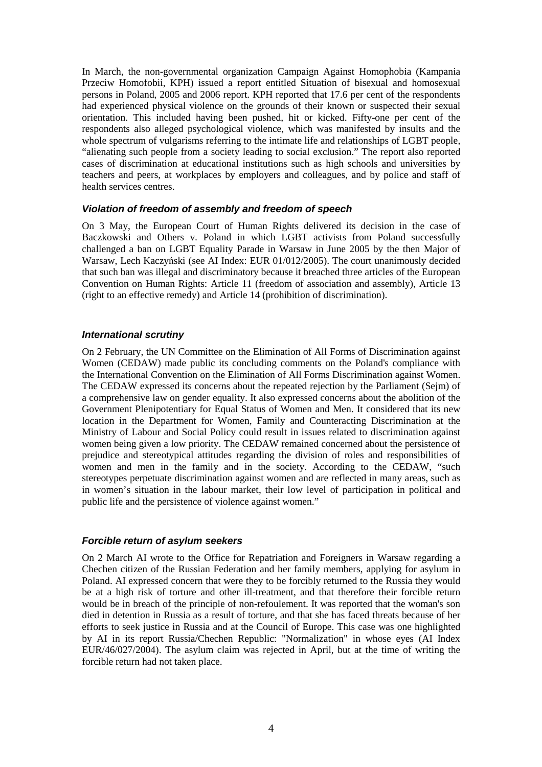In March, the non-governmental organization Campaign Against Homophobia (Kampania Przeciw Homofobii, KPH) issued a report entitled Situation of bisexual and homosexual persons in Poland, 2005 and 2006 report. KPH reported that 17.6 per cent of the respondents had experienced physical violence on the grounds of their known or suspected their sexual orientation. This included having been pushed, hit or kicked. Fifty-one per cent of the respondents also alleged psychological violence, which was manifested by insults and the whole spectrum of vulgarisms referring to the intimate life and relationships of LGBT people, "alienating such people from a society leading to social exclusion." The report also reported cases of discrimination at educational institutions such as high schools and universities by teachers and peers, at workplaces by employers and colleagues, and by police and staff of health services centres.

#### **Violation of freedom of assembly and freedom of speech**

On 3 May, the European Court of Human Rights delivered its decision in the case of Baczkowski and Others v. Poland in which LGBT activists from Poland successfully challenged a ban on LGBT Equality Parade in Warsaw in June 2005 by the then Major of Warsaw, Lech Kaczyński (see AI Index: EUR 01/012/2005). The court unanimously decided that such ban was illegal and discriminatory because it breached three articles of the European Convention on Human Rights: Article 11 (freedom of association and assembly), Article 13 (right to an effective remedy) and Article 14 (prohibition of discrimination).

#### **International scrutiny**

On 2 February, the UN Committee on the Elimination of All Forms of Discrimination against Women (CEDAW) made public its concluding comments on the Poland's compliance with the International Convention on the Elimination of All Forms Discrimination against Women. The CEDAW expressed its concerns about the repeated rejection by the Parliament (Sejm) of a comprehensive law on gender equality. It also expressed concerns about the abolition of the Government Plenipotentiary for Equal Status of Women and Men. It considered that its new location in the Department for Women, Family and Counteracting Discrimination at the Ministry of Labour and Social Policy could result in issues related to discrimination against women being given a low priority. The CEDAW remained concerned about the persistence of prejudice and stereotypical attitudes regarding the division of roles and responsibilities of women and men in the family and in the society. According to the CEDAW, "such stereotypes perpetuate discrimination against women and are reflected in many areas, such as in women's situation in the labour market, their low level of participation in political and public life and the persistence of violence against women."

#### **Forcible return of asylum seekers**

On 2 March AI wrote to the Office for Repatriation and Foreigners in Warsaw regarding a Chechen citizen of the Russian Federation and her family members, applying for asylum in Poland. AI expressed concern that were they to be forcibly returned to the Russia they would be at a high risk of torture and other ill-treatment, and that therefore their forcible return would be in breach of the principle of non-refoulement. It was reported that the woman's son died in detention in Russia as a result of torture, and that she has faced threats because of her efforts to seek justice in Russia and at the Council of Europe. This case was one highlighted by AI in its report Russia/Chechen Republic: "Normalization" in whose eyes (AI Index EUR/46/027/2004). The asylum claim was rejected in April, but at the time of writing the forcible return had not taken place.